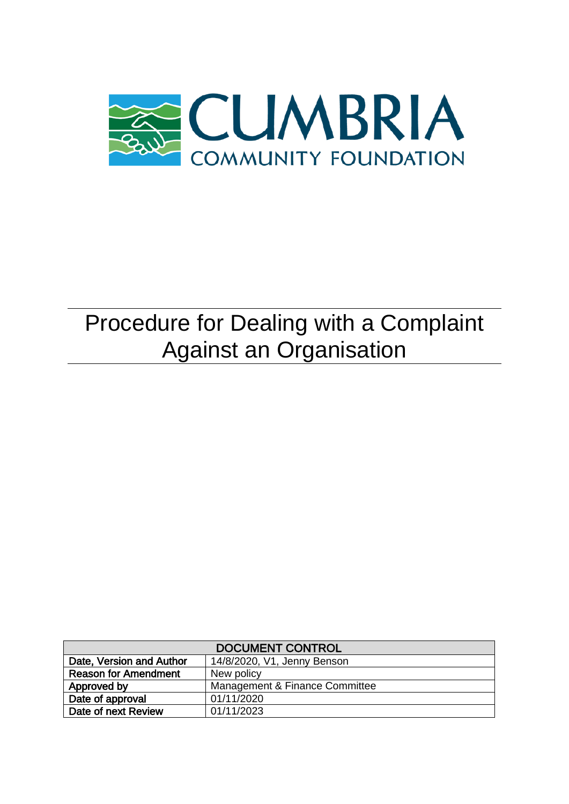

# Procedure for Dealing with a Complaint Against an Organisation

| <b>DOCUMENT CONTROL</b>     |                                |  |  |
|-----------------------------|--------------------------------|--|--|
| Date, Version and Author    | 14/8/2020, V1, Jenny Benson    |  |  |
| <b>Reason for Amendment</b> | New policy                     |  |  |
| Approved by                 | Management & Finance Committee |  |  |
| Date of approval            | 01/11/2020                     |  |  |
| Date of next Review         | 01/11/2023                     |  |  |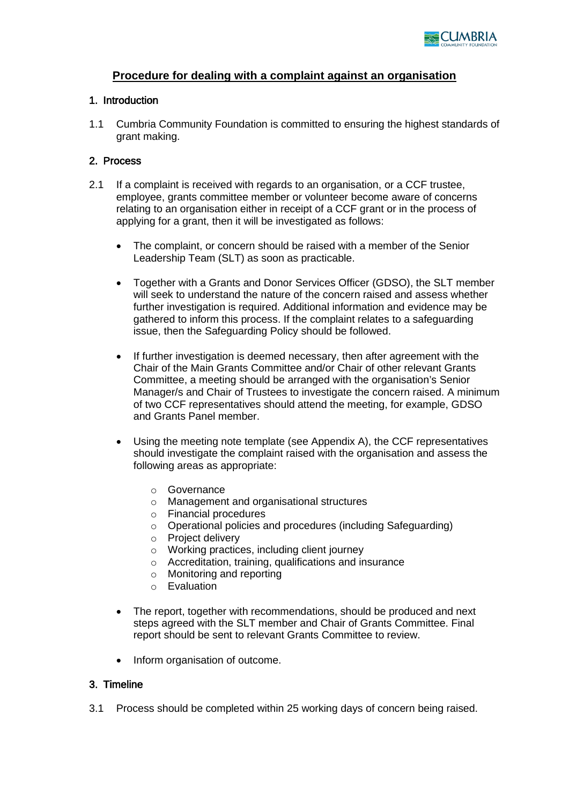

## **Procedure for dealing with a complaint against an organisation**

#### 1. Introduction

1.1 Cumbria Community Foundation is committed to ensuring the highest standards of grant making.

#### 2. Process

- 2.1 If a complaint is received with regards to an organisation, or a CCF trustee, employee, grants committee member or volunteer become aware of concerns relating to an organisation either in receipt of a CCF grant or in the process of applying for a grant, then it will be investigated as follows:
	- The complaint, or concern should be raised with a member of the Senior Leadership Team (SLT) as soon as practicable.
	- Together with a Grants and Donor Services Officer (GDSO), the SLT member will seek to understand the nature of the concern raised and assess whether further investigation is required. Additional information and evidence may be gathered to inform this process. If the complaint relates to a safeguarding issue, then the Safeguarding Policy should be followed.
	- If further investigation is deemed necessary, then after agreement with the Chair of the Main Grants Committee and/or Chair of other relevant Grants Committee, a meeting should be arranged with the organisation's Senior Manager/s and Chair of Trustees to investigate the concern raised. A minimum of two CCF representatives should attend the meeting, for example, GDSO and Grants Panel member.
	- Using the meeting note template (see Appendix A), the CCF representatives should investigate the complaint raised with the organisation and assess the following areas as appropriate:
		- o Governance
		- o Management and organisational structures
		- o Financial procedures
		- o Operational policies and procedures (including Safeguarding)
		- o Project delivery
		- o Working practices, including client journey
		- o Accreditation, training, qualifications and insurance
		- o Monitoring and reporting
		- o Evaluation
	- The report, together with recommendations, should be produced and next steps agreed with the SLT member and Chair of Grants Committee. Final report should be sent to relevant Grants Committee to review.
	- Inform organisation of outcome.

#### 3. Timeline

3.1 Process should be completed within 25 working days of concern being raised.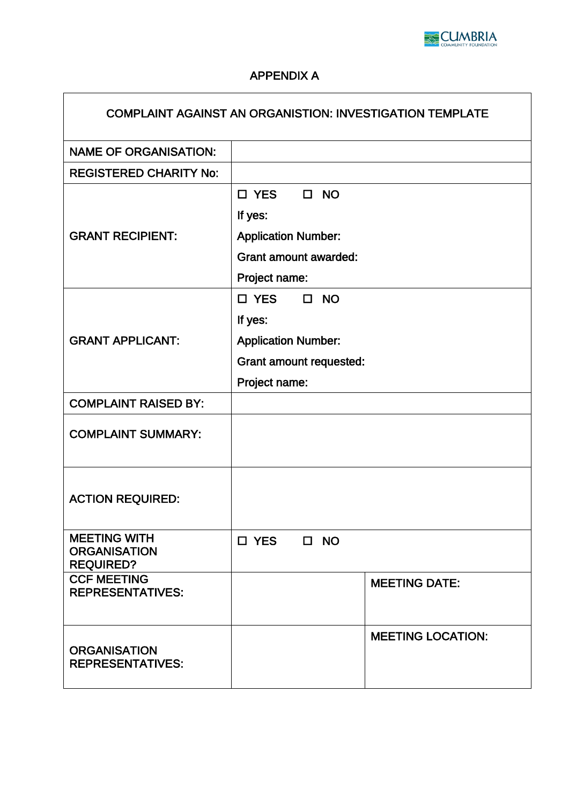

# APPENDIX A

| <b>COMPLAINT AGAINST AN ORGANISTION: INVESTIGATION TEMPLATE</b> |                                |                     |                          |  |
|-----------------------------------------------------------------|--------------------------------|---------------------|--------------------------|--|
| <b>NAME OF ORGANISATION:</b>                                    |                                |                     |                          |  |
| <b>REGISTERED CHARITY No:</b>                                   |                                |                     |                          |  |
|                                                                 | $\square$ YES<br>$\Box$ NO     |                     |                          |  |
|                                                                 | If yes:                        |                     |                          |  |
| <b>GRANT RECIPIENT:</b>                                         | <b>Application Number:</b>     |                     |                          |  |
|                                                                 | <b>Grant amount awarded:</b>   |                     |                          |  |
|                                                                 | Project name:                  |                     |                          |  |
|                                                                 | $\square$ YES                  | $\Box$<br><b>NO</b> |                          |  |
|                                                                 | If yes:                        |                     |                          |  |
| <b>GRANT APPLICANT:</b>                                         | <b>Application Number:</b>     |                     |                          |  |
|                                                                 | <b>Grant amount requested:</b> |                     |                          |  |
|                                                                 | Project name:                  |                     |                          |  |
| <b>COMPLAINT RAISED BY:</b>                                     |                                |                     |                          |  |
| <b>COMPLAINT SUMMARY:</b>                                       |                                |                     |                          |  |
| <b>ACTION REQUIRED:</b>                                         |                                |                     |                          |  |
| <b>MEETING WITH</b><br><b>ORGANISATION</b><br><b>REQUIRED?</b>  | $\Box$ YES                     | $\square$ NO        |                          |  |
| <b>CCF MEETING</b><br><b>REPRESENTATIVES:</b>                   |                                |                     | <b>MEETING DATE:</b>     |  |
| <b>ORGANISATION</b><br><b>REPRESENTATIVES:</b>                  |                                |                     | <b>MEETING LOCATION:</b> |  |